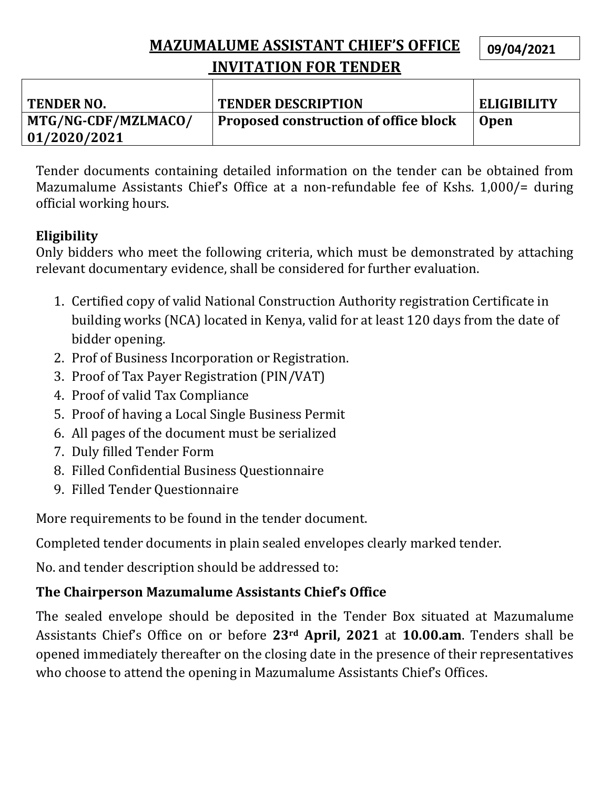## **MAZUMALUME ASSISTANT CHIEF'S OFFICE INVITATION FOR TENDER**

**09/04/2021**

| <b>TENDER NO.</b>   | <b>TENDER DESCRIPTION</b>                    | <b>ELIGIBILITY</b> |
|---------------------|----------------------------------------------|--------------------|
| MTG/NG-CDF/MZLMACO/ | <b>Proposed construction of office block</b> | <b>Open</b>        |
| 01/2020/2021        |                                              |                    |

Tender documents containing detailed information on the tender can be obtained from Mazumalume Assistants Chief's Office at a non-refundable fee of Kshs. 1,000/= during official working hours.

#### **Eligibility**

Only bidders who meet the following criteria, which must be demonstrated by attaching relevant documentary evidence, shall be considered for further evaluation.

- 1. Certified copy of valid National Construction Authority registration Certificate in building works (NCA) located in Kenya, valid for at least 120 days from the date of bidder opening.
- 2. Prof of Business Incorporation or Registration.
- 3. Proof of Tax Payer Registration (PIN/VAT)
- 4. Proof of valid Tax Compliance
- 5. Proof of having a Local Single Business Permit
- 6. All pages of the document must be serialized
- 7. Duly filled Tender Form
- 8. Filled Confidential Business Questionnaire
- 9. Filled Tender Questionnaire

More requirements to be found in the tender document.

Completed tender documents in plain sealed envelopes clearly marked tender.

No. and tender description should be addressed to:

## **The Chairperson Mazumalume Assistants Chief's Office**

The sealed envelope should be deposited in the Tender Box situated at Mazumalume Assistants Chief's Office on or before **23rd April, 2021** at **10.00.am**. Tenders shall be opened immediately thereafter on the closing date in the presence of their representatives who choose to attend the opening in Mazumalume Assistants Chief's Offices.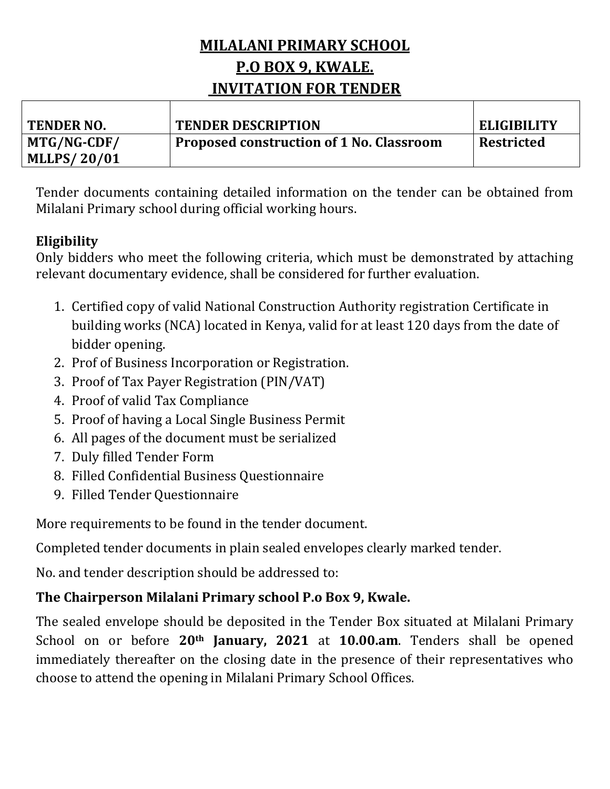## **MILALANI PRIMARY SCHOOL P.O BOX 9, KWALE. INVITATION FOR TENDER**

| <b>TENDER NO.</b>  | <b>TENDER DESCRIPTION</b>                | <b>ELIGIBILITY</b> |
|--------------------|------------------------------------------|--------------------|
| MTG/NG-CDF/        | Proposed construction of 1 No. Classroom | Restricted         |
| <b>MLLPS/20/01</b> |                                          |                    |

Tender documents containing detailed information on the tender can be obtained from Milalani Primary school during official working hours.

#### **Eligibility**

Only bidders who meet the following criteria, which must be demonstrated by attaching relevant documentary evidence, shall be considered for further evaluation.

- 1. Certified copy of valid National Construction Authority registration Certificate in building works (NCA) located in Kenya, valid for at least 120 days from the date of bidder opening.
- 2. Prof of Business Incorporation or Registration.
- 3. Proof of Tax Payer Registration (PIN/VAT)
- 4. Proof of valid Tax Compliance
- 5. Proof of having a Local Single Business Permit
- 6. All pages of the document must be serialized
- 7. Duly filled Tender Form
- 8. Filled Confidential Business Questionnaire
- 9. Filled Tender Questionnaire

More requirements to be found in the tender document.

Completed tender documents in plain sealed envelopes clearly marked tender.

No. and tender description should be addressed to:

### **The Chairperson Milalani Primary school P.o Box 9, Kwale.**

The sealed envelope should be deposited in the Tender Box situated at Milalani Primary School on or before **20th January, 2021** at **10.00.am**. Tenders shall be opened immediately thereafter on the closing date in the presence of their representatives who choose to attend the opening in Milalani Primary School Offices.